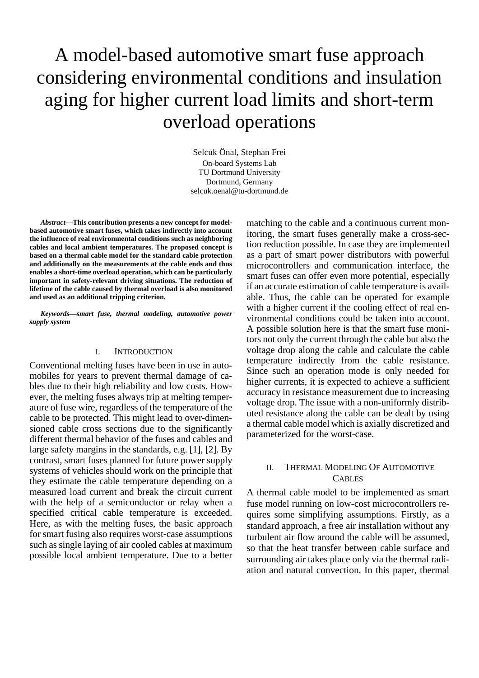# A model-based automotive smart fuse approach considering environmental conditions and insulation aging for higher current load limits and short-term overload operations

Selcuk Önal, Stephan Frei On-board Systems Lab TU Dortmund University Dortmund, Germany selcuk.oenal@tu-dortmund.de

*Abstract***—This contribution presents a new concept for modelbased automotive smart fuses, which takes indirectly into account the influence of real environmental conditions such as neighboring cables and local ambient temperatures. The proposed concept is based on a thermal cable model for the standard cable protection and additionally on the measurements at the cable ends and thus enables a short-time overload operation, which can be particularly important in safety-relevant driving situations. The reduction of lifetime of the cable caused by thermal overload is also monitored and used as an additional tripping criterion.** 

*Keywords—smart fuse, thermal modeling, automotive power supply system* 

## I. INTRODUCTION

Conventional melting fuses have been in use in automobiles for years to prevent thermal damage of cables due to their high reliability and low costs. However, the melting fuses always trip at melting temperature of fuse wire, regardless of the temperature of the cable to be protected. This might lead to over-dimensioned cable cross sections due to the significantly different thermal behavior of the fuses and cables and large safety margins in the standards, e.g. [1], [2]. By contrast, smart fuses planned for future power supply systems of vehicles should work on the principle that they estimate the cable temperature depending on a measured load current and break the circuit current with the help of a semiconductor or relay when a specified critical cable temperature is exceeded. Here, as with the melting fuses, the basic approach for smart fusing also requires worst-case assumptions such as single laying of air cooled cables at maximum possible local ambient temperature. Due to a better

matching to the cable and a continuous current monitoring, the smart fuses generally make a cross-section reduction possible. In case they are implemented as a part of smart power distributors with powerful microcontrollers and communication interface, the smart fuses can offer even more potential, especially if an accurate estimation of cable temperature is available. Thus, the cable can be operated for example with a higher current if the cooling effect of real environmental conditions could be taken into account. A possible solution here is that the smart fuse monitors not only the current through the cable but also the voltage drop along the cable and calculate the cable temperature indirectly from the cable resistance. Since such an operation mode is only needed for higher currents, it is expected to achieve a sufficient accuracy in resistance measurement due to increasing voltage drop. The issue with a non-uniformly distributed resistance along the cable can be dealt by using a thermal cable model which is axially discretized and parameterized for the worst-case.

## II. THERMAL MODELING OF AUTOMOTIVE **CABLES**

A thermal cable model to be implemented as smart fuse model running on low-cost microcontrollers requires some simplifying assumptions. Firstly, as a standard approach, a free air installation without any turbulent air flow around the cable will be assumed, so that the heat transfer between cable surface and surrounding air takes place only via the thermal radiation and natural convection. In this paper, thermal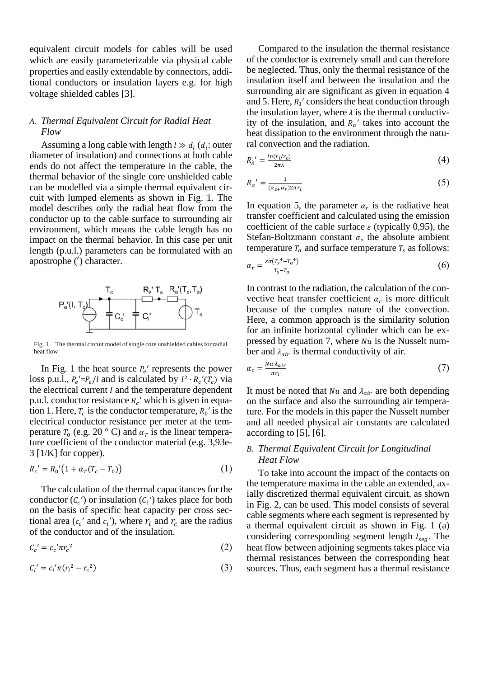equivalent circuit models for cables will be used which are easily parameterizable via physical cable properties and easily extendable by connectors, additional conductors or insulation layers e.g. for high voltage shielded cables [3].

# *A. Thermal Equivalent Circuit for Radial Heat Flow*

Assuming a long cable with length  $l \gg d_i$  ( $d_i$ : outer diameter of insulation) and connections at both cable ends do not affect the temperature in the cable, the thermal behavior of the single core unshielded cable can be modelled via a simple thermal equivalent circuit with lumped elements as shown in Fig. 1. The model describes only the radial heat flow from the conductor up to the cable surface to surrounding air environment, which means the cable length has no impact on the thermal behavior. In this case per unit length (p.u.l.) parameters can be formulated with an apostrophe (′) character.



Fig. 1. The thermal circuit model of single core unshielded cables for radial heat flow

In Fig. 1 the heat source  $P_e'$  represents the power loss p.u.l.,  $P_e' = P_e / l$  and is calculated by  $I^2 \cdot R_c' (T_c)$  via the electrical current  $I$  and the temperature dependent p.u.l. conductor resistance  $R_c'$  which is given in equation 1. Here,  $T_c$  is the conductor temperature,  $R_0'$  is the electrical conductor resistance per meter at the temperature  $T_0$  (e.g. 20 ° C) and  $\alpha_T$  is the linear temperature coefficient of the conductor material (e.g. 3,93e- $3$  [1/K] for copper).

$$
R_c' = R_0' (1 + \alpha_T (T_c - T_0))
$$
 (1)

The calculation of the thermal capacitances for the conductor  $(C_{c})$  or insulation  $(C_{i})$  takes place for both on the basis of specific heat capacity per cross sectional area ( $c_c'$  and  $c_i'$ ), where  $r_i$  and  $r_c$  are the radius of the conductor and of the insulation.

$$
C_c' = c_c' \pi r_c^2 \tag{2}
$$

$$
C_i' = c_i' \pi (r_i^2 - r_c^2) \tag{3}
$$

Compared to the insulation the thermal resistance of the conductor is extremely small and can therefore be neglected. Thus, only the thermal resistance of the insulation itself and between the insulation and the surrounding air are significant as given in equation 4 and 5. Here,  $R_{\lambda}$ ' considers the heat conduction through the insulation layer, where  $\lambda$  is the thermal conductivity of the insulation, and  $R_{\alpha}$ ' takes into account the heat dissipation to the environment through the natural convection and the radiation.

$$
R_{\lambda}^{\prime} = \frac{\ln(r_i/r_c)}{2\pi\lambda} \tag{4}
$$

$$
R_{\alpha}^{\prime} = \frac{1}{(\alpha_{c+} \alpha_r) 2\pi r_i} \tag{5}
$$

In equation 5, the parameter  $\alpha_r$  is the radiative heat transfer coefficient and calculated using the emission coefficient of the cable surface  $\varepsilon$  (typically 0,95), the Stefan-Boltzmann constant  $\sigma$ , the absolute ambient temperature  $T_a$  and surface temperature  $T_s$  as follows:

$$
\alpha_r = \frac{\varepsilon \sigma (T_s^4 - T_a^4)}{T_s - T_a} \tag{6}
$$

In contrast to the radiation, the calculation of the convective heat transfer coefficient  $\alpha_c$  is more difficult because of the complex nature of the convection. Here, a common approach is the similarity solution for an infinite horizontal cylinder which can be expressed by equation 7, where  $Nu$  is the Nusselt number and  $\lambda_{air}$  is thermal conductivity of air.

$$
\alpha_c = \frac{N u \cdot \lambda_{air}}{\pi r_i} \tag{7}
$$

It must be noted that  $Nu$  and  $\lambda_{air}$  are both depending on the surface and also the surrounding air temperature. For the models in this paper the Nusselt number and all needed physical air constants are calculated according to [5], [6].

## *B. Thermal Equivalent Circuit for Longitudinal Heat Flow*

To take into account the impact of the contacts on the temperature maxima in the cable an extended, axially discretized thermal equivalent circuit, as shown in Fig. 2, can be used. This model consists of several cable segments where each segment is represented by a thermal equivalent circuit as shown in Fig. 1 (a) considering corresponding segment length  $l_{seq}$ . The heat flow between adjoining segments takes place via thermal resistances between the corresponding heat sources. Thus, each segment has a thermal resistance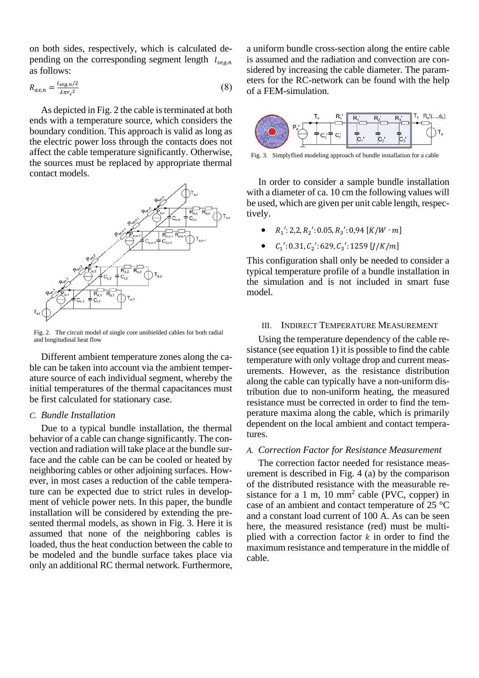on both sides, respectively, which is calculated depending on the corresponding segment length  $l_{\text{sean}}$ as follows:

$$
R_{ax,n} = \frac{l_{seg,n}/2}{\lambda \pi r_c^2} \tag{8}
$$

As depicted in Fig. 2 the cable is terminated at both ends with a temperature source, which considers the boundary condition. This approach is valid as long as the electric power loss through the contacts does not affect the cable temperature significantly. Otherwise, the sources must be replaced by appropriate thermal contact models.



Fig. 2. The circuit model of single core unshielded cables for both radial and longitudinal heat flow

Different ambient temperature zones along the cable can be taken into account via the ambient temperature source of each individual segment, whereby the initial temperatures of the thermal capacitances must be first calculated for stationary case.

### *C. Bundle Installation*

Due to a typical bundle installation, the thermal behavior of a cable can change significantly. The convection and radiation will take place at the bundle surface and the cable can be can be cooled or heated by neighboring cables or other adjoining surfaces. However, in most cases a reduction of the cable temperature can be expected due to strict rules in development of vehicle power nets. In this paper, the bundle installation will be considered by extending the presented thermal models, as shown in Fig. 3. Here it is assumed that none of the neighboring cables is loaded, thus the heat conduction between the cable to be modeled and the bundle surface takes place via only an additional RC thermal network. Furthermore,

a uniform bundle cross-section along the entire cable is assumed and the radiation and convection are considered by increasing the cable diameter. The parameters for the RC-network can be found with the help of a FEM-simulation.



Fig. 3. Simplyflied modeling approach of bundle installation for a cable

In order to consider a sample bundle installation with a diameter of ca. 10 cm the following values will be used, which are given per unit cable length, respectively.

- $\bullet$   $R_1$ ': 2,2,  $R_2$ ': 0.05,  $R_3$ ': 0,94  $\lceil K/W \cdot m \rceil$
- $\bullet$   $C_1$ ': 0.31,  $C_2$ ': 629,  $C_3$ ': 1259 [*J*/*K*/*m*]

This configuration shall only be needed to consider a typical temperature profile of a bundle installation in the simulation and is not included in smart fuse model.

### III. INDIRECT TEMPERATURE MEASUREMENT

Using the temperature dependency of the cable resistance (see equation 1) it is possible to find the cable temperature with only voltage drop and current measurements. However, as the resistance distribution along the cable can typically have a non-uniform distribution due to non-uniform heating, the measured resistance must be corrected in order to find the temperature maxima along the cable, which is primarily dependent on the local ambient and contact temperatures.

# *A. Correction Factor for Resistance Measurement*

The correction factor needed for resistance measurement is described in Fig. 4 (a) by the comparison of the distributed resistance with the measurable resistance for a 1 m, 10  $mm<sup>2</sup>$  cable (PVC, copper) in case of an ambient and contact temperature of 25 °C and a constant load current of 100 A. As can be seen here, the measured resistance (red) must be multiplied with a correction factor  $k$  in order to find the maximum resistance and temperature in the middle of cable.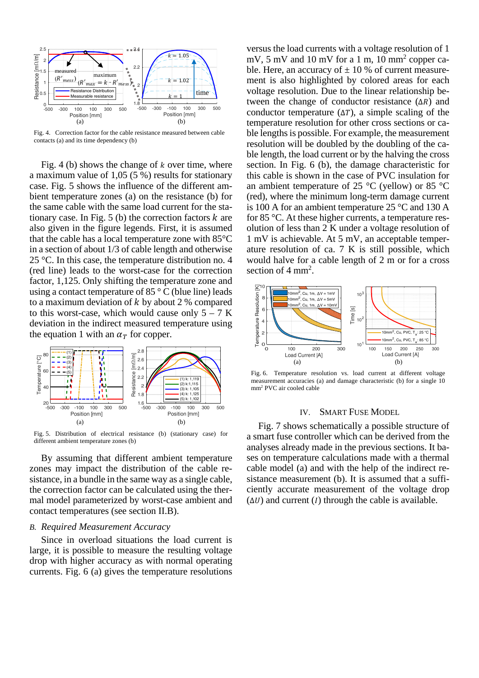

Fig. 4. Correction factor for the cable resistance measured between cable contacts (a) and its time dependency (b)

Fig. 4 (b) shows the change of  $k$  over time, where a maximum value of 1,05 (5 %) results for stationary case. Fig. 5 shows the influence of the different ambient temperature zones (a) on the resistance (b) for the same cable with the same load current for the stationary case. In Fig.  $5$  (b) the correction factors  $k$  are also given in the figure legends. First, it is assumed that the cable has a local temperature zone with 85°C in a section of about 1/3 of cable length and otherwise 25 °C. In this case, the temperature distribution no. 4 (red line) leads to the worst-case for the correction factor, 1,125. Only shifting the temperature zone and using a contact temperature of 85  $\degree$  C (blue line) leads to a maximum deviation of  $k$  by about 2 % compared to this worst-case, which would cause only  $5 - 7$  K deviation in the indirect measured temperature using the equation 1 with an  $\alpha_T$  for copper.



Fig. 5. Distribution of electrical resistance (b) (stationary case) for different ambient temperature zones (b)

By assuming that different ambient temperature zones may impact the distribution of the cable resistance, in a bundle in the same way as a single cable, the correction factor can be calculated using the thermal model parameterized by worst-case ambient and contact temperatures (see section II.B).

# *B. Required Measurement Accuracy*

Since in overload situations the load current is large, it is possible to measure the resulting voltage drop with higher accuracy as with normal operating currents. Fig. 6 (a) gives the temperature resolutions

versus the load currents with a voltage resolution of 1 mV, 5 mV and 10 mV for a 1 m,  $10 \text{ mm}^2$  copper cable. Here, an accuracy of  $\pm$  10 % of current measurement is also highlighted by colored areas for each voltage resolution. Due to the linear relationship between the change of conductor resistance  $(\Delta R)$  and conductor temperature  $(\Delta T)$ , a simple scaling of the temperature resolution for other cross sections or cable lengths is possible. For example, the measurement resolution will be doubled by the doubling of the cable length, the load current or by the halving the cross section. In Fig. 6 (b), the damage characteristic for this cable is shown in the case of PVC insulation for an ambient temperature of 25  $^{\circ}$ C (yellow) or 85  $^{\circ}$ C (red), where the minimum long-term damage current is 100 A for an ambient temperature 25 °C and 130 A for 85 °C. At these higher currents, a temperature resolution of less than 2 K under a voltage resolution of 1 mV is achievable. At 5 mV, an acceptable temperature resolution of ca. 7 K is still possible, which would halve for a cable length of 2 m or for a cross section of 4 mm<sup>2</sup>.



Fig. 6. Temperature resolution vs. load current at different voltage measurement accuracies (a) and damage characteristic (b) for a single 10 mm2 PVC air cooled cable

### IV. SMART FUSE MODEL

Fig. 7 shows schematically a possible structure of a smart fuse controller which can be derived from the analyses already made in the previous sections. It bases on temperature calculations made with a thermal cable model (a) and with the help of the indirect resistance measurement (b). It is assumed that a sufficiently accurate measurement of the voltage drop  $(\Delta U)$  and current (*I*) through the cable is available.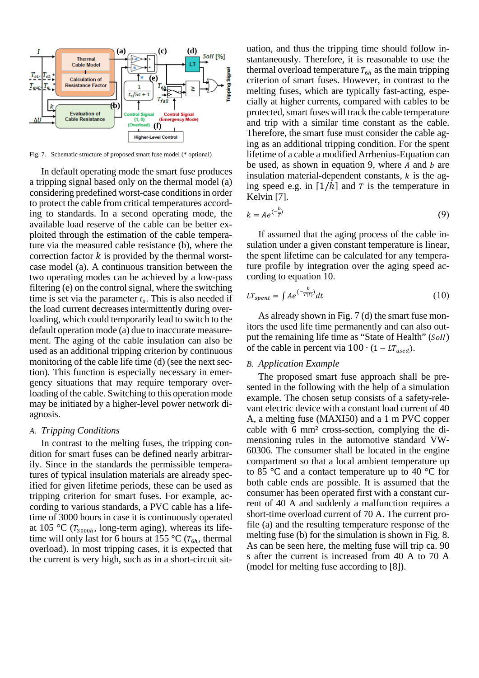

Fig. 7. Schematic structure of proposed smart fuse model (\* optional)

In default operating mode the smart fuse produces a tripping signal based only on the thermal model (a) considering predefined worst-case conditions in order to protect the cable from critical temperatures according to standards. In a second operating mode, the available load reserve of the cable can be better exploited through the estimation of the cable temperature via the measured cable resistance (b), where the correction factor  $k$  is provided by the thermal worstcase model (a). A continuous transition between the two operating modes can be achieved by a low-pass filtering (e) on the control signal, where the switching time is set via the parameter  $t_s$ . This is also needed if the load current decreases intermittently during overloading, which could temporarily lead to switch to the default operation mode (a) due to inaccurate measurement. The aging of the cable insulation can also be used as an additional tripping criterion by continuous monitoring of the cable life time (d) (see the next section). This function is especially necessary in emergency situations that may require temporary overloading of the cable. Switching to this operation mode may be initiated by a higher-level power network diagnosis.

#### *A. Tripping Conditions*

In contrast to the melting fuses, the tripping condition for smart fuses can be defined nearly arbitrarily. Since in the standards the permissible temperatures of typical insulation materials are already specified for given lifetime periods, these can be used as tripping criterion for smart fuses. For example, according to various standards, a PVC cable has a lifetime of 3000 hours in case it is continuously operated at 105 °C ( $T_{\text{3000h}}$ , long-term aging), whereas its lifetime will only last for 6 hours at 155 °C ( $T_{6h}$ , thermal overload). In most tripping cases, it is expected that the current is very high, such as in a short-circuit sit-

uation, and thus the tripping time should follow instantaneously. Therefore, it is reasonable to use the thermal overload temperature  $T_{6h}$  as the main tripping criterion of smart fuses. However, in contrast to the melting fuses, which are typically fast-acting, especially at higher currents, compared with cables to be protected, smart fuses will track the cable temperature and trip with a similar time constant as the cable. Therefore, the smart fuse must consider the cable aging as an additional tripping condition. For the spent lifetime of a cable a modified Arrhenius-Equation can be used, as shown in equation 9, where  $A$  and  $b$  are insulation material-dependent constants,  $k$  is the aging speed e.g. in  $[1/h]$  and T is the temperature in Kelvin [7].

$$
k = Ae^{(-\frac{b}{T})}
$$
 (9)

If assumed that the aging process of the cable insulation under a given constant temperature is linear, the spent lifetime can be calculated for any temperature profile by integration over the aging speed according to equation 10.

$$
LT_{spent} = \int Ae^{(-\frac{b}{T(t)})} dt
$$
 (10)

As already shown in Fig. 7 (d) the smart fuse monitors the used life time permanently and can also output the remaining life time as "State of Health"  $(SoH)$ of the cable in percent via  $100 \cdot (1 - LT_{used})$ .

### *B. Application Example*

The proposed smart fuse approach shall be presented in the following with the help of a simulation example. The chosen setup consists of a safety-relevant electric device with a constant load current of 40 A, a melting fuse (MAXI50) and a 1 m PVC copper cable with 6 mm² cross-section, complying the dimensioning rules in the automotive standard VW-60306. The consumer shall be located in the engine compartment so that a local ambient temperature up to 85 °C and a contact temperature up to 40 °C for both cable ends are possible. It is assumed that the consumer has been operated first with a constant current of 40 A and suddenly a malfunction requires a short-time overload current of 70 A. The current profile (a) and the resulting temperature response of the melting fuse (b) for the simulation is shown in Fig. 8. As can be seen here, the melting fuse will trip ca. 90 s after the current is increased from 40 A to 70 A (model for melting fuse according to [8]).